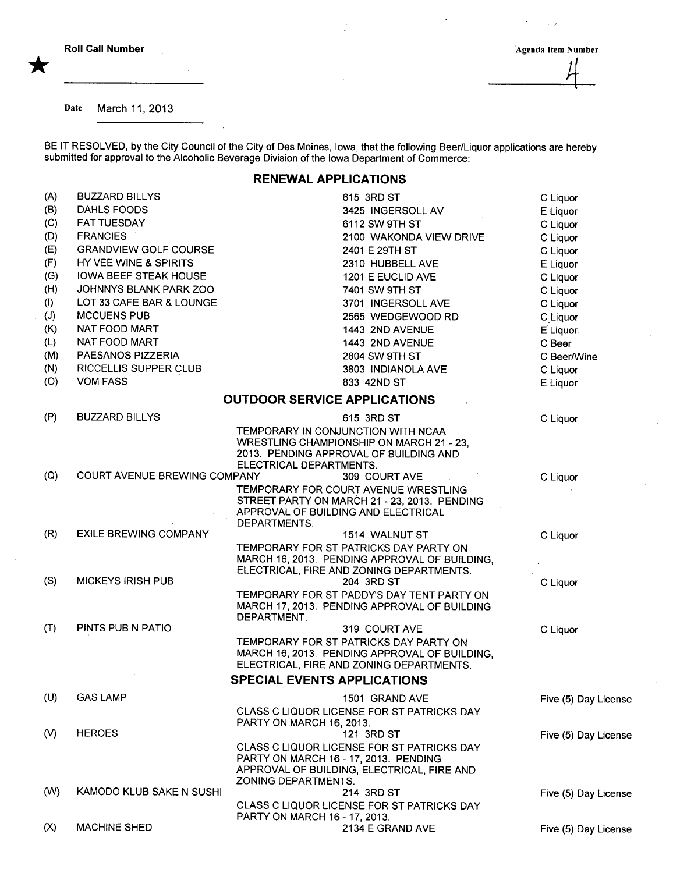$\sim$   $\lambda$ 

 $\bar{\mathcal{A}}$ 

## Date March 11, 2013

BE IT RESOLVED, by the City Council of the City of Des Moines, Iowa, that the following Beer/Liquor applications are hereby submitted for approval to the Alcoholic Beverage Division of the Iowa Department of Commerce:

## RENEWAL APPLICATIONS

| (A) | <b>BUZZARD BILLYS</b>        | 615 3RD ST                                                                                                                                                 | C Liquor             |
|-----|------------------------------|------------------------------------------------------------------------------------------------------------------------------------------------------------|----------------------|
| (B) | DAHLS FOODS                  | 3425 INGERSOLL AV                                                                                                                                          | E Liquor             |
| (C) | <b>FAT TUESDAY</b>           | 6112 SW 9TH ST                                                                                                                                             | C Liquor             |
| (D) | <b>FRANCIES</b>              | 2100 WAKONDA VIEW DRIVE                                                                                                                                    | C Liquor             |
| (E) | <b>GRANDVIEW GOLF COURSE</b> | 2401 E 29TH ST                                                                                                                                             | C Liquor             |
| (F) | HY VEE WINE & SPIRITS        | 2310 HUBBELL AVE                                                                                                                                           | E Liquor             |
| (G) | <b>IOWA BEEF STEAK HOUSE</b> | 1201 E EUCLID AVE                                                                                                                                          | C Liquor             |
| (H) | JOHNNYS BLANK PARK ZOO       | 7401 SW 9TH ST                                                                                                                                             | C Liquor             |
| (1) | LOT 33 CAFE BAR & LOUNGE     | 3701 INGERSOLL AVE                                                                                                                                         | C Liquor             |
| (J) | <b>MCCUENS PUB</b>           | 2565 WEDGEWOOD RD                                                                                                                                          | C Liquor             |
| (K) | NAT FOOD MART                | 1443 2ND AVENUE                                                                                                                                            | E Liquor             |
| (L) | NAT FOOD MART                | 1443 2ND AVENUE                                                                                                                                            | C Beer               |
| (M) | PAESANOS PIZZERIA            | 2804 SW 9TH ST                                                                                                                                             | C Beer/Wine          |
| (N) | RICCELLIS SUPPER CLUB        | 3803 INDIANOLA AVE                                                                                                                                         | C Liquor             |
| (O) | <b>VOM FASS</b>              | 833 42ND ST                                                                                                                                                | E Liquor             |
|     |                              | <b>OUTDOOR SERVICE APPLICATIONS</b>                                                                                                                        |                      |
|     |                              |                                                                                                                                                            |                      |
| (P) | <b>BUZZARD BILLYS</b>        | 615 3RD ST                                                                                                                                                 | C Liquor             |
|     |                              | TEMPORARY IN CONJUNCTION WITH NCAA<br><b>WRESTLING CHAMPIONSHIP ON MARCH 21 - 23.</b><br>2013. PENDING APPROVAL OF BUILDING AND<br>ELECTRICAL DEPARTMENTS. |                      |
| (Q) | COURT AVENUE BREWING COMPANY | 309 COURT AVE                                                                                                                                              | C Liquor             |
|     |                              | TEMPORARY FOR COURT AVENUE WRESTLING<br>STREET PARTY ON MARCH 21 - 23, 2013. PENDING<br>APPROVAL OF BUILDING AND ELECTRICAL<br>DEPARTMENTS.                |                      |
| (R) | <b>EXILE BREWING COMPANY</b> | 1514 WALNUT ST                                                                                                                                             | C Liquor             |
|     |                              | TEMPORARY FOR ST PATRICKS DAY PARTY ON<br>MARCH 16, 2013. PENDING APPROVAL OF BUILDING,<br>ELECTRICAL, FIRE AND ZONING DEPARTMENTS.                        |                      |
| (S) | <b>MICKEYS IRISH PUB</b>     | 204 3RD ST                                                                                                                                                 | C Liquor             |
|     |                              | TEMPORARY FOR ST PADDY'S DAY TENT PARTY ON<br>MARCH 17, 2013. PENDING APPROVAL OF BUILDING<br>DEPARTMENT.                                                  |                      |
| (T) | PINTS PUB N PATIO            | 319 COURT AVE                                                                                                                                              | C Liquor             |
|     |                              | TEMPORARY FOR ST PATRICKS DAY PARTY ON<br>MARCH 16, 2013. PENDING APPROVAL OF BUILDING,<br>ELECTRICAL, FIRE AND ZONING DEPARTMENTS.                        |                      |
|     |                              | <b>SPECIAL EVENTS APPLICATIONS</b>                                                                                                                         |                      |
| (U) | <b>GAS LAMP</b>              | 1501 GRAND AVE                                                                                                                                             | Five (5) Day License |
|     |                              | CLASS C LIQUOR LICENSE FOR ST PATRICKS DAY<br>PARTY ON MARCH 16, 2013.                                                                                     |                      |
| (V) | <b>HEROES</b>                | 121 3RD ST<br>CLASS C LIQUOR LICENSE FOR ST PATRICKS DAY                                                                                                   | Five (5) Day License |
|     |                              | PARTY ON MARCH 16 - 17, 2013. PENDING<br>APPROVAL OF BUILDING, ELECTRICAL, FIRE AND<br>ZONING DEPARTMENTS.                                                 |                      |
| (W) | KAMODO KLUB SAKE N SUSHI     | 214 3RD ST                                                                                                                                                 | Five (5) Day License |
|     |                              | CLASS C LIQUOR LICENSE FOR ST PATRICKS DAY<br>PARTY ON MARCH 16 - 17, 2013.                                                                                |                      |
| (X) | MACHINE SHED                 | 2134 E GRAND AVE                                                                                                                                           | Five (5) Day License |
|     |                              |                                                                                                                                                            |                      |